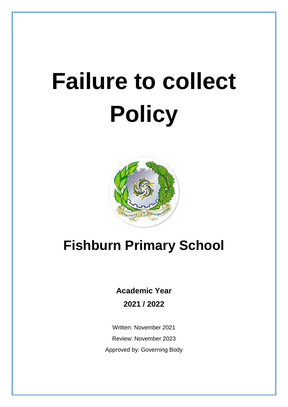## **Failure to collect Policy**



## **Fishburn Primary School**

**Academic Year** 

**2021 / 2022**

Written: November 2021 Review: November 2023 Approved by: Governing Body